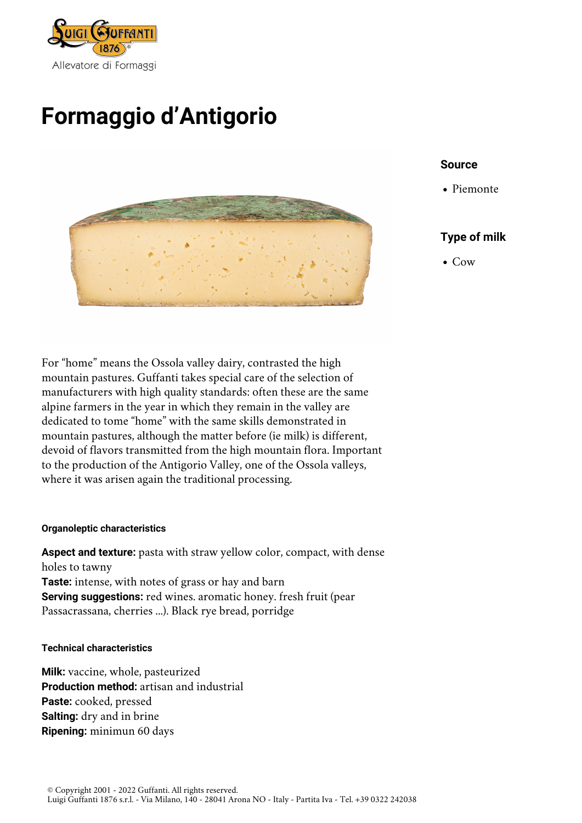

# **Formaggio d'Antigorio**



## **Source**

Piemonte

# **Type of milk**

Cow

For "home" means the Ossola valley dairy, contrasted the high mountain pastures. Guffanti takes special care of the selection of manufacturers with high quality standards: often these are the same alpine farmers in the year in which they remain in the valley are dedicated to tome "home" with the same skills demonstrated in mountain pastures, although the matter before (ie milk) is different, devoid of flavors transmitted from the high mountain flora. Important to the production of the Antigorio Valley, one of the Ossola valleys, where it was arisen again the traditional processing.

## **Organoleptic characteristics**

**Aspect and texture:** pasta with straw yellow color, compact, with dense holes to tawny **Taste:** intense, with notes of grass or hay and barn **Serving suggestions:** red wines. aromatic honey. fresh fruit (pear Passacrassana, cherries ...). Black rye bread, porridge

#### **Technical characteristics**

**Milk:** vaccine, whole, pasteurized **Production method:** artisan and industrial **Paste:** cooked, pressed **Salting:** dry and in brine **Ripening:** minimun 60 days